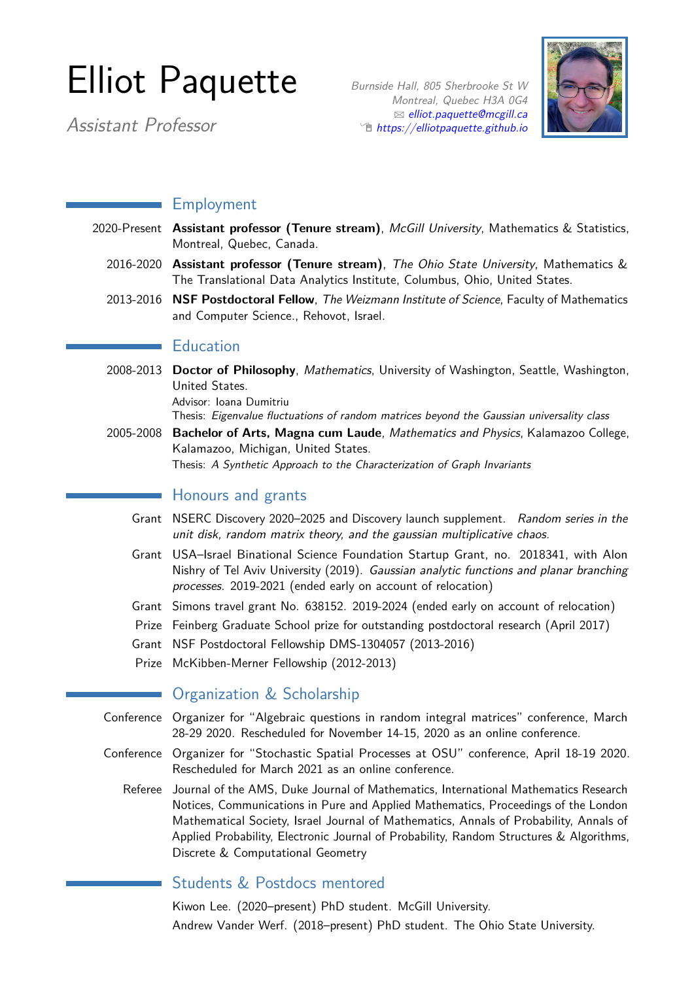# Elliot Paquette

Assistant Professor

Burnside Hall, 805 Sherbrooke St W Montreal, Quebec H3A 0G4  $\boxtimes$  [elliot.paquette@mcgill.ca](mailto:elliot.paquette@mcgill.ca)  $\hat{p}$  [https://elliotpaquette.github.io](http://https://elliotpaquette.github.io)



# Employment

- 2020-Present **Assistant professor (Tenure stream)**, McGill University, Mathematics & Statistics, Montreal, Quebec, Canada.
	- 2016-2020 **Assistant professor (Tenure stream)**, The Ohio State University, Mathematics & The Translational Data Analytics Institute, Columbus, Ohio, United States.
	- 2013-2016 **NSF Postdoctoral Fellow**, The Weizmann Institute of Science, Faculty of Mathematics and Computer Science., Rehovot, Israel.

## **Education**

2008-2013 **Doctor of Philosophy**, Mathematics, University of Washington, Seattle, Washington, United States.

Advisor: Ioana Dumitriu

Thesis: Eigenvalue fluctuations of random matrices beyond the Gaussian universality class

2005-2008 **Bachelor of Arts, Magna cum Laude**, Mathematics and Physics, Kalamazoo College, Kalamazoo, Michigan, United States.

Thesis: A Synthetic Approach to the Characterization of Graph Invariants

## **Honours and grants**

- Grant NSERC Discovery 2020–2025 and Discovery launch supplement. Random series in the unit disk, random matrix theory, and the gaussian multiplicative chaos.
- Grant USA–Israel Binational Science Foundation Startup Grant, no. 2018341, with Alon Nishry of Tel Aviv University (2019). Gaussian analytic functions and planar branching processes. 2019-2021 (ended early on account of relocation)
- Grant Simons travel grant No. 638152. 2019-2024 (ended early on account of relocation)
- Prize Feinberg Graduate School prize for outstanding postdoctoral research (April 2017)
- Grant NSF Postdoctoral Fellowship DMS-1304057 (2013-2016)
- Prize McKibben-Merner Fellowship (2012-2013)

# **Organization & Scholarship**

- Conference Organizer for "Algebraic questions in random integral matrices" conference, March 28-29 2020. Rescheduled for November 14-15, 2020 as an online conference.
- Conference Organizer for "Stochastic Spatial Processes at OSU" conference, April 18-19 2020. Rescheduled for March 2021 as an online conference.
	- Referee Journal of the AMS, Duke Journal of Mathematics, International Mathematics Research Notices, Communications in Pure and Applied Mathematics, Proceedings of the London Mathematical Society, Israel Journal of Mathematics, Annals of Probability, Annals of Applied Probability, Electronic Journal of Probability, Random Structures & Algorithms, Discrete & Computational Geometry

# Students & Postdocs mentored

Kiwon Lee. (2020–present) PhD student. McGill University. Andrew Vander Werf. (2018–present) PhD student. The Ohio State University.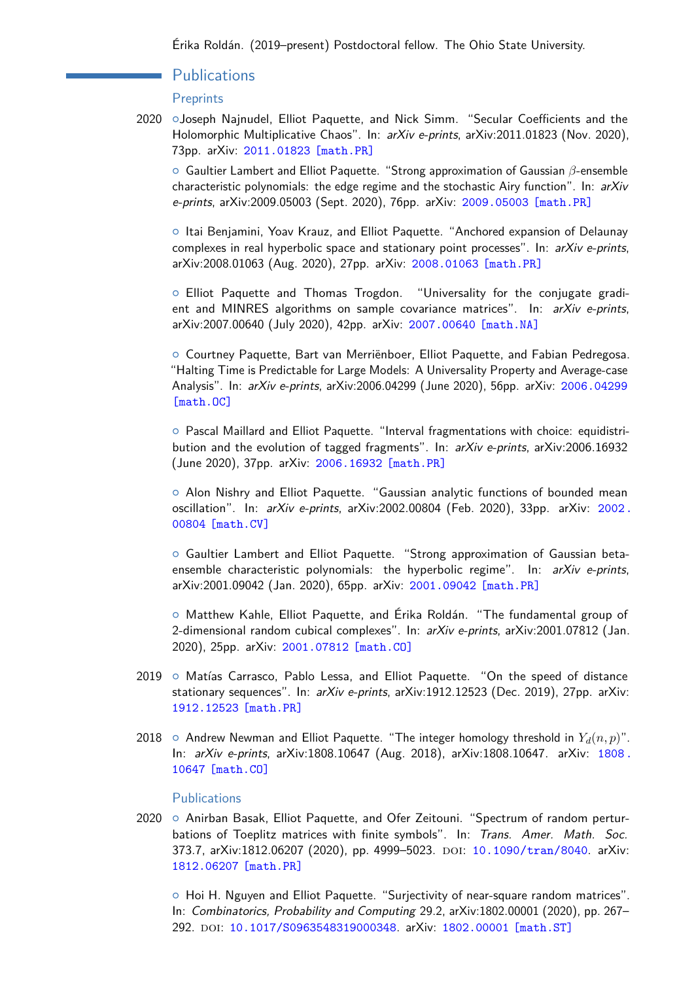## Publications

#### **Preprints**

2020 oJoseph Najnudel, Elliot Paquette, and Nick Simm. "Secular Coefficients and the Holomorphic Multiplicative Chaos". In: arXiv e-prints, arXiv:2011.01823 (Nov. 2020), 73pp. arXiv: [2011.01823 \[math.PR\]](https://arxiv.org/abs/2011.01823)

{ Gaultier Lambert and Elliot Paquette. "Strong approximation of Gaussian *β*-ensemble characteristic polynomials: the edge regime and the stochastic Airy function". In: arXiv e-prints, arXiv:2009.05003 (Sept. 2020), 76pp. arXiv: [2009.05003 \[math.PR\]](https://arxiv.org/abs/2009.05003)

{ Itai Benjamini, Yoav Krauz, and Elliot Paquette. "Anchored expansion of Delaunay complexes in real hyperbolic space and stationary point processes". In: arXiv e-prints, arXiv:2008.01063 (Aug. 2020), 27pp. arXiv: [2008.01063 \[math.PR\]](https://arxiv.org/abs/2008.01063)

{ Elliot Paquette and Thomas Trogdon. "Universality for the conjugate gradient and MINRES algorithms on sample covariance matrices". In:  $arXiv$  e-prints, arXiv:2007.00640 (July 2020), 42pp. arXiv: [2007.00640 \[math.NA\]](https://arxiv.org/abs/2007.00640)

{ Courtney Paquette, Bart van Merriënboer, Elliot Paquette, and Fabian Pedregosa. "Halting Time is Predictable for Large Models: A Universality Property and Average-case Analysis". In: arXiv e-prints, arXiv:2006.04299 (June 2020), 56pp. arXiv: [2006.04299](https://arxiv.org/abs/2006.04299) [\[math.OC\]](https://arxiv.org/abs/2006.04299)

{ Pascal Maillard and Elliot Paquette. "Interval fragmentations with choice: equidistribution and the evolution of tagged fragments". In: arXiv e-prints, arXiv:2006.16932 (June 2020), 37pp. arXiv: [2006.16932 \[math.PR\]](https://arxiv.org/abs/2006.16932)

{ Alon Nishry and Elliot Paquette. "Gaussian analytic functions of bounded mean oscillation". In: arXiv e-prints, arXiv:2002.00804 (Feb. 2020), 33pp. arXiv: [2002.](https://arxiv.org/abs/2002.00804) [00804 \[math.CV\]](https://arxiv.org/abs/2002.00804)

{ Gaultier Lambert and Elliot Paquette. "Strong approximation of Gaussian betaensemble characteristic polynomials: the hyperbolic regime". In:  $arXiv$  e-prints, arXiv:2001.09042 (Jan. 2020), 65pp. arXiv: [2001.09042 \[math.PR\]](https://arxiv.org/abs/2001.09042)

{ Matthew Kahle, Elliot Paquette, and Érika Roldán. "The fundamental group of 2-dimensional random cubical complexes". In: arXiv e-prints, arXiv:2001.07812 (Jan. 2020), 25pp. arXiv: [2001.07812 \[math.CO\]](https://arxiv.org/abs/2001.07812)

- $2019$   $\circ$  Matías Carrasco, Pablo Lessa, and Elliot Paquette. "On the speed of distance stationary sequences". In: arXiv e-prints, arXiv:1912.12523 (Dec. 2019), 27pp. arXiv: [1912.12523 \[math.PR\]](https://arxiv.org/abs/1912.12523)
- 2018  $\circ$  Andrew Newman and Elliot Paquette. "The integer homology threshold in  $Y_d(n, p)$ ". In: arXiv e-prints, arXiv:1808.10647 (Aug. 2018), arXiv:1808.10647. arXiv: [1808.](https://arxiv.org/abs/1808.10647) [10647 \[math.CO\]](https://arxiv.org/abs/1808.10647)

#### Publications

2020  $\circ$  Anirban Basak, Elliot Paquette, and Ofer Zeitouni. "Spectrum of random perturbations of Toeplitz matrices with finite symbols". In: Trans. Amer. Math. Soc. 373.7, arXiv:1812.06207 (2020), pp. 4999-5023. DOI: [10.1090/tran/8040](https://doi.org/10.1090/tran/8040). arXiv: [1812.06207 \[math.PR\]](https://arxiv.org/abs/1812.06207)

{ Hoi H. Nguyen and Elliot Paquette. "Surjectivity of near-square random matrices". In: Combinatorics, Probability and Computing 29.2, arXiv:1802.00001 (2020), pp. 267– 292. doi: [10.1017/S0963548319000348](https://doi.org/10.1017/S0963548319000348). arXiv: [1802.00001 \[math.ST\]](https://arxiv.org/abs/1802.00001)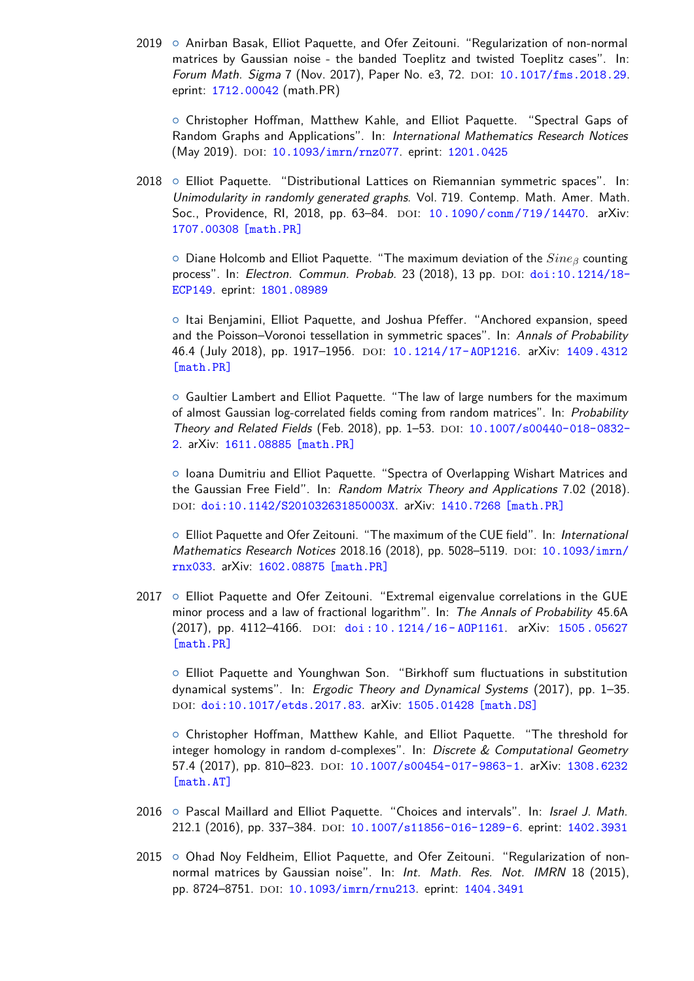2019 o Anirban Basak, Elliot Paquette, and Ofer Zeitouni. "Regularization of non-normal matrices by Gaussian noise - the banded Toeplitz and twisted Toeplitz cases". In: Forum Math. Sigma 7 (Nov. 2017), Paper No. e3, 72. DOI: [10.1017/fms.2018.29](https://doi.org/10.1017/fms.2018.29). eprint: [1712.00042](http://1712.00042) (math.PR)

{ Christopher Hoffman, Matthew Kahle, and Elliot Paquette. "Spectral Gaps of Random Graphs and Applications". In: International Mathematics Research Notices (May 2019). DOI: [10.1093/imrn/rnz077](https://doi.org/10.1093/imrn/rnz077). eprint: [1201.0425](http://1201.0425)

 $2018$   $\circ$  Elliot Paquette. "Distributional Lattices on Riemannian symmetric spaces". In: Unimodularity in randomly generated graphs. Vol. 719. Contemp. Math. Amer. Math. Soc., Providence, RI, 2018, pp. 63-84. DOI: [10.1090/conm/719/14470](https://doi.org/10.1090/conm/719/14470). arXiv: [1707.00308 \[math.PR\]](https://arxiv.org/abs/1707.00308)

{ Diane Holcomb and Elliot Paquette. "The maximum deviation of the *Sine<sup>β</sup>* counting process". In: Electron. Commun. Probab. 23 (2018), 13 pp. doi: [doi:10.1214/18-](https://doi.org/doi:10.1214/18-ECP149) [ECP149](https://doi.org/doi:10.1214/18-ECP149). eprint: [1801.08989](http://1801.08989)

{ Itai Benjamini, Elliot Paquette, and Joshua Pfeffer. "Anchored expansion, speed and the Poisson–Voronoi tessellation in symmetric spaces". In: Annals of Probability 46.4 (July 2018), pp. 1917–1956. doi: [10.1214/17-AOP1216](https://doi.org/10.1214/17-AOP1216). arXiv: [1409.4312](https://arxiv.org/abs/1409.4312) [\[math.PR\]](https://arxiv.org/abs/1409.4312)

{ Gaultier Lambert and Elliot Paquette. "The law of large numbers for the maximum of almost Gaussian log-correlated fields coming from random matrices". In: Probability Theory and Related Fields (Feb. 2018), pp. 1-53. DOI: [10.1007/s00440-018-0832-](https://doi.org/10.1007/s00440-018-0832-2) [2](https://doi.org/10.1007/s00440-018-0832-2). arXiv: [1611.08885 \[math.PR\]](https://arxiv.org/abs/1611.08885)

{ Ioana Dumitriu and Elliot Paquette. "Spectra of Overlapping Wishart Matrices and the Gaussian Free Field". In: Random Matrix Theory and Applications 7.02 (2018). DOI: [doi:10.1142/S201032631850003X](https://doi.org/doi:10.1142/S201032631850003X). arXiv: [1410.7268 \[math.PR\]](https://arxiv.org/abs/1410.7268)

○ Elliot Paquette and Ofer Zeitouni. "The maximum of the CUE field". In: International Mathematics Research Notices 2018.16 (2018), pp. 5028-5119. DOI: [10.1093/imrn/](https://doi.org/10.1093/imrn/rnx033) [rnx033](https://doi.org/10.1093/imrn/rnx033). arXiv: [1602.08875 \[math.PR\]](https://arxiv.org/abs/1602.08875)

 $2017$   $\circ$  Elliot Paquette and Ofer Zeitouni. "Extremal eigenvalue correlations in the GUE minor process and a law of fractional logarithm". In: The Annals of Probability 45.6A (2017), pp. 4112-4166. DOI: doi: 10.1214/16-A0P1161. arXiv: 1505.05627 [\[math.PR\]](https://arxiv.org/abs/1505.05627)

{ Elliot Paquette and Younghwan Son. "Birkhoff sum fluctuations in substitution dynamical systems". In: Ergodic Theory and Dynamical Systems (2017), pp. 1–35. DOI: [doi:10.1017/etds.2017.83](https://doi.org/doi:10.1017/etds.2017.83). arXiv: [1505.01428 \[math.DS\]](https://arxiv.org/abs/1505.01428)

{ Christopher Hoffman, Matthew Kahle, and Elliot Paquette. "The threshold for integer homology in random d-complexes". In: Discrete & Computational Geometry 57.4 (2017), pp. 810-823. DOI: [10.1007/s00454-017-9863-1](https://doi.org/10.1007/s00454-017-9863-1). arXiv: [1308.6232](https://arxiv.org/abs/1308.6232) [\[math.AT\]](https://arxiv.org/abs/1308.6232)

- 2016  $\circ$  Pascal Maillard and Elliot Paquette. "Choices and intervals". In: Israel J. Math. 212.1 (2016), pp. 337-384. DOI: [10.1007/s11856-016-1289-6](https://doi.org/10.1007/s11856-016-1289-6). eprint: [1402.3931](http://1402.3931)
- 2015 o Ohad Noy Feldheim, Elliot Paquette, and Ofer Zeitouni. "Regularization of nonnormal matrices by Gaussian noise". In: Int. Math. Res. Not. IMRN 18 (2015), pp. 8724-8751. DOI: [10.1093/imrn/rnu213](https://doi.org/10.1093/imrn/rnu213). eprint: [1404.3491](http://1404.3491)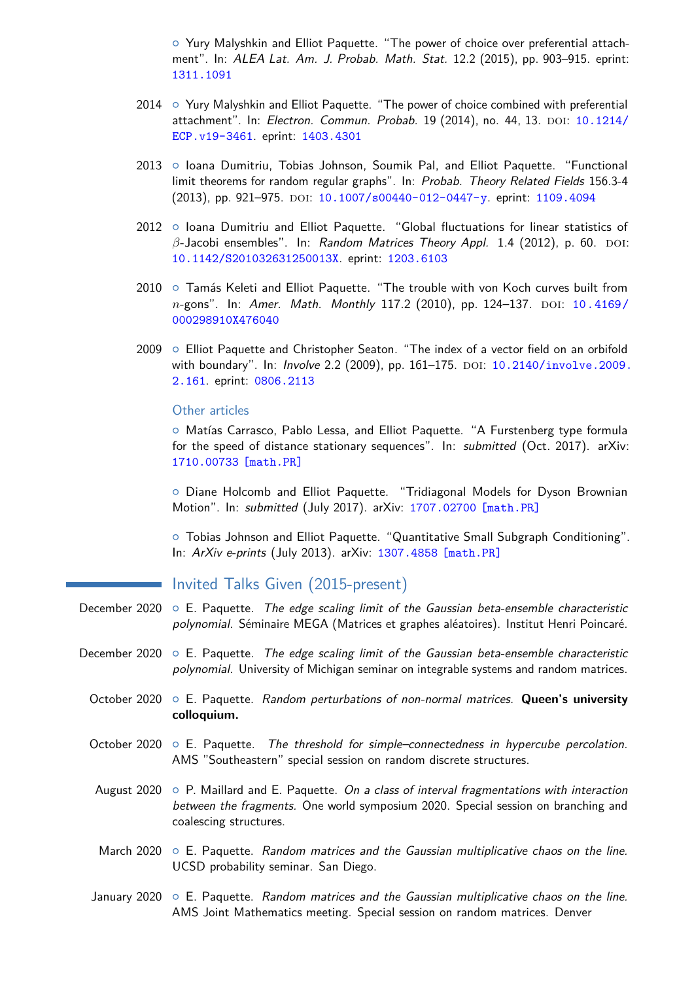{ Yury Malyshkin and Elliot Paquette. "The power of choice over preferential attachment". In: ALEA Lat. Am. J. Probab. Math. Stat. 12.2 (2015), pp. 903–915. eprint: [1311.1091](http://1311.1091)

- $2014 \circ$  Yury Malyshkin and Elliot Paquette. "The power of choice combined with preferential attachment". In: Electron. Commun. Probab. 19 (2014), no. 44, 13. DOI: [10.1214/](https://doi.org/10.1214/ECP.v19-3461) [ECP.v19-3461](https://doi.org/10.1214/ECP.v19-3461). eprint: [1403.4301](http://1403.4301)
- 2013 o Ioana Dumitriu, Tobias Johnson, Soumik Pal, and Elliot Paquette. "Functional limit theorems for random regular graphs". In: Probab. Theory Related Fields 156.3-4 (2013), pp. 921-975. DOI: [10.1007/s00440-012-0447-y](https://doi.org/10.1007/s00440-012-0447-y). eprint: [1109.4094](http://1109.4094)
- 2012 o Ioana Dumitriu and Elliot Paquette. "Global fluctuations for linear statistics of  $β$ -Jacobi ensembles". In: Random Matrices Theory Appl. 1.4 (2012), p. 60. DOI: [10.1142/S201032631250013X](https://doi.org/10.1142/S201032631250013X). eprint: [1203.6103](http://1203.6103)
- $2010$   $\circ$  Tamás Keleti and Elliot Paquette. "The trouble with von Koch curves built from *n*-gons". In: Amer. Math. Monthly 117.2 (2010), pp. 124–137. DOI: [10.4169/](https://doi.org/10.4169/000298910X476040) [000298910X476040](https://doi.org/10.4169/000298910X476040)
- $2009$   $\circ$  Elliot Paquette and Christopher Seaton. "The index of a vector field on an orbifold with boundary". In: *Involve* 2.2 (2009), pp. 161-175. DOI: [10.2140/involve.2009.](https://doi.org/10.2140/involve.2009.2.161) [2.161](https://doi.org/10.2140/involve.2009.2.161). eprint: [0806.2113](http://0806.2113)

#### Other articles

{ Matías Carrasco, Pablo Lessa, and Elliot Paquette. "A Furstenberg type formula for the speed of distance stationary sequences". In: submitted (Oct. 2017). arXiv: [1710.00733 \[math.PR\]](https://arxiv.org/abs/1710.00733)

{ Diane Holcomb and Elliot Paquette. "Tridiagonal Models for Dyson Brownian Motion". In: submitted (July 2017). arXiv: [1707.02700 \[math.PR\]](https://arxiv.org/abs/1707.02700)

{ Tobias Johnson and Elliot Paquette. "Quantitative Small Subgraph Conditioning". In: ArXiv e-prints (July 2013). arXiv: [1307.4858 \[math.PR\]](https://arxiv.org/abs/1307.4858)

# Invited Talks Given (2015-present)

- December 2020  $\circ$  E. Paquette. The edge scaling limit of the Gaussian beta-ensemble characteristic polynomial. Séminaire MEGA (Matrices et graphes aléatoires). Institut Henri Poincaré.
- December 2020  $\circ$  E. Paquette. The edge scaling limit of the Gaussian beta-ensemble characteristic polynomial. University of Michigan seminar on integrable systems and random matrices.
	- October 2020 o E. Paquette. Random perturbations of non-normal matrices. Queen's university **colloquium.**
	- October 2020  $\circ$  E. Paquette. The threshold for simple–connectedness in hypercube percolation. AMS "Southeastern" special session on random discrete structures.
	- August 2020  $\circ$  P. Maillard and E. Paquette. On a class of interval fragmentations with interaction between the fragments. One world symposium 2020. Special session on branching and coalescing structures.
	- March 2020  $\circ$  E. Paquette. Random matrices and the Gaussian multiplicative chaos on the line. UCSD probability seminar. San Diego.

### January 2020  $\circ$  E. Paquette. Random matrices and the Gaussian multiplicative chaos on the line. AMS Joint Mathematics meeting. Special session on random matrices. Denver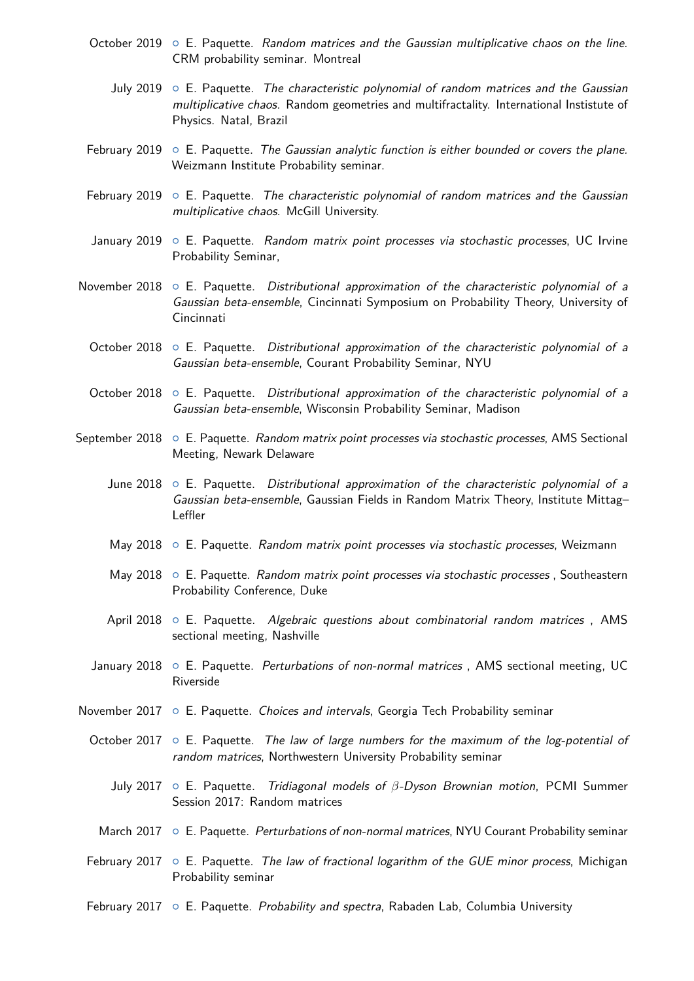- October 2019  $\circ$  E. Paquette. Random matrices and the Gaussian multiplicative chaos on the line. CRM probability seminar. Montreal
	- July 2019  $\circ$  E. Paquette. The characteristic polynomial of random matrices and the Gaussian multiplicative chaos. Random geometries and multifractality. International Instistute of Physics. Natal, Brazil
- February 2019  $\circ$  E. Paquette. The Gaussian analytic function is either bounded or covers the plane. Weizmann Institute Probability seminar.
- February 2019  $\circ$  E. Paquette. The characteristic polynomial of random matrices and the Gaussian multiplicative chaos. McGill University.
- January 2019  $\circ$  E. Paquette. Random matrix point processes via stochastic processes, UC Irvine Probability Seminar,
- November 2018  $\circ$  E. Paquette. Distributional approximation of the characteristic polynomial of a Gaussian beta-ensemble, Cincinnati Symposium on Probability Theory, University of Cincinnati
	- October 2018  $\circ$  E. Paquette. Distributional approximation of the characteristic polynomial of a Gaussian beta-ensemble, Courant Probability Seminar, NYU
	- October 2018  $\circ$  E. Paquette. Distributional approximation of the characteristic polynomial of a Gaussian beta-ensemble, Wisconsin Probability Seminar, Madison
- September 2018 o E. Paquette. Random matrix point processes via stochastic processes, AMS Sectional Meeting, Newark Delaware
	- June 2018  $\circ$  E. Paquette. Distributional approximation of the characteristic polynomial of a Gaussian beta-ensemble, Gaussian Fields in Random Matrix Theory, Institute Mittag– Leffler
	- May 2018 o E. Paquette. Random matrix point processes via stochastic processes, Weizmann
	- May 2018  $\circ$  E. Paquette. Random matrix point processes via stochastic processes, Southeastern Probability Conference, Duke
	- April 2018  $\circ$  E. Paquette. Algebraic questions about combinatorial random matrices, AMS sectional meeting, Nashville
	- January 2018  $\circ$  E. Paquette. Perturbations of non-normal matrices, AMS sectional meeting, UC Riverside
- November 2017  $\circ$  E. Paquette. Choices and intervals, Georgia Tech Probability seminar
	- October 2017  $\circ$  E. Paquette. The law of large numbers for the maximum of the log-potential of random matrices, Northwestern University Probability seminar
		- July 2017 { E. Paquette. Tridiagonal models of *β*-Dyson Brownian motion, PCMI Summer Session 2017: Random matrices
		- March 2017 o E. Paquette. Perturbations of non-normal matrices, NYU Courant Probability seminar
	- February 2017  $\circ$  E. Paquette. The law of fractional logarithm of the GUE minor process, Michigan Probability seminar
	- February 2017  $\circ$  E. Paquette. Probability and spectra, Rabaden Lab, Columbia University